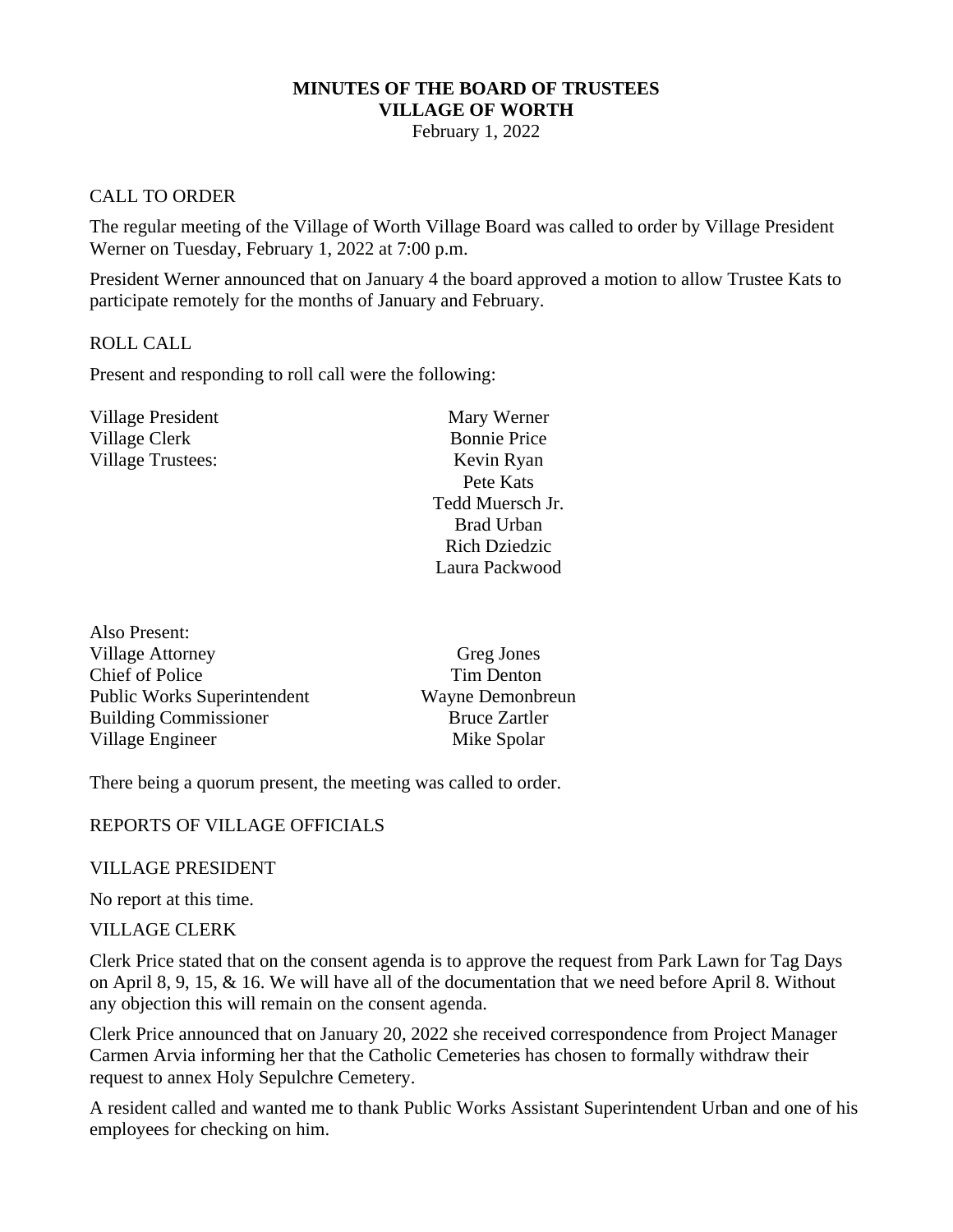# **MINUTES OF THE BOARD OF TRUSTEES VILLAGE OF WORTH**

February 1, 2022

### CALL TO ORDER

The regular meeting of the Village of Worth Village Board was called to order by Village President Werner on Tuesday, February 1, 2022 at 7:00 p.m.

President Werner announced that on January 4 the board approved a motion to allow Trustee Kats to participate remotely for the months of January and February.

### ROLL CALL

Also Present:

Present and responding to roll call were the following:

| Village President | Mary Werner          |
|-------------------|----------------------|
| Village Clerk     | <b>Bonnie Price</b>  |
| Village Trustees: | Kevin Ryan           |
|                   | Pete Kats            |
|                   | Tedd Muersch Jr.     |
|                   | <b>Brad Urban</b>    |
|                   | <b>Rich Dziedzic</b> |
|                   | Laura Packwood       |
|                   |                      |

| Greg Jones           |
|----------------------|
| Tim Denton           |
| Wayne Demonbreun     |
| <b>Bruce Zartler</b> |
| Mike Spolar          |
|                      |

There being a quorum present, the meeting was called to order.

### REPORTS OF VILLAGE OFFICIALS

### VILLAGE PRESIDENT

No report at this time.

### VILLAGE CLERK

Clerk Price stated that on the consent agenda is to approve the request from Park Lawn for Tag Days on April 8, 9, 15, & 16. We will have all of the documentation that we need before April 8. Without any objection this will remain on the consent agenda.

Clerk Price announced that on January 20, 2022 she received correspondence from Project Manager Carmen Arvia informing her that the Catholic Cemeteries has chosen to formally withdraw their request to annex Holy Sepulchre Cemetery.

A resident called and wanted me to thank Public Works Assistant Superintendent Urban and one of his employees for checking on him.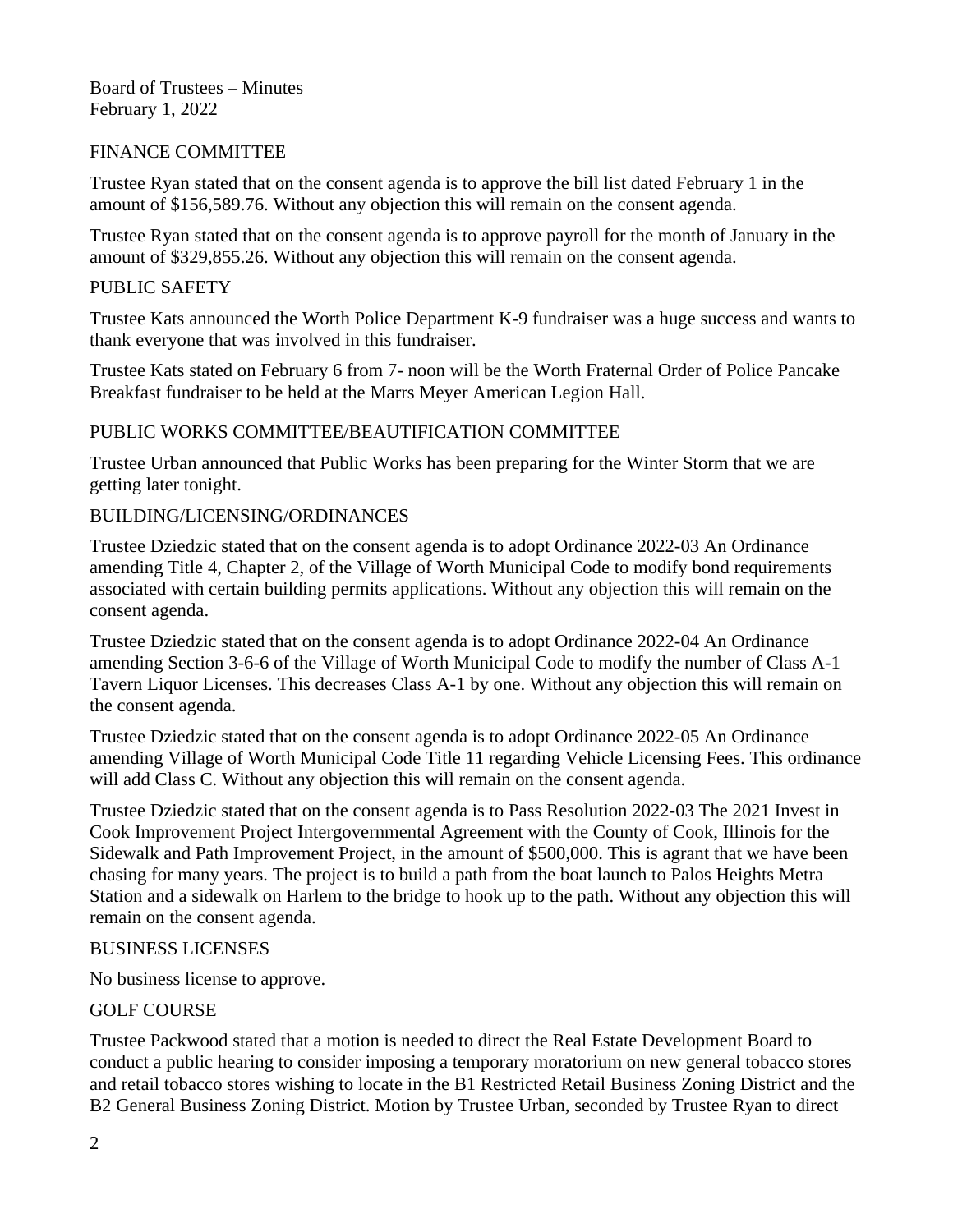Board of Trustees – Minutes February 1, 2022

# FINANCE COMMITTEE

Trustee Ryan stated that on the consent agenda is to approve the bill list dated February 1 in the amount of \$156,589.76. Without any objection this will remain on the consent agenda.

Trustee Ryan stated that on the consent agenda is to approve payroll for the month of January in the amount of \$329,855.26. Without any objection this will remain on the consent agenda.

### PUBLIC SAFETY

Trustee Kats announced the Worth Police Department K-9 fundraiser was a huge success and wants to thank everyone that was involved in this fundraiser.

Trustee Kats stated on February 6 from 7- noon will be the Worth Fraternal Order of Police Pancake Breakfast fundraiser to be held at the Marrs Meyer American Legion Hall.

# PUBLIC WORKS COMMITTEE/BEAUTIFICATION COMMITTEE

Trustee Urban announced that Public Works has been preparing for the Winter Storm that we are getting later tonight.

# BUILDING/LICENSING/ORDINANCES

Trustee Dziedzic stated that on the consent agenda is to adopt Ordinance 2022-03 An Ordinance amending Title 4, Chapter 2, of the Village of Worth Municipal Code to modify bond requirements associated with certain building permits applications. Without any objection this will remain on the consent agenda.

Trustee Dziedzic stated that on the consent agenda is to adopt Ordinance 2022-04 An Ordinance amending Section 3-6-6 of the Village of Worth Municipal Code to modify the number of Class A-1 Tavern Liquor Licenses. This decreases Class A-1 by one. Without any objection this will remain on the consent agenda.

Trustee Dziedzic stated that on the consent agenda is to adopt Ordinance 2022-05 An Ordinance amending Village of Worth Municipal Code Title 11 regarding Vehicle Licensing Fees. This ordinance will add Class C. Without any objection this will remain on the consent agenda.

Trustee Dziedzic stated that on the consent agenda is to Pass Resolution 2022-03 The 2021 Invest in Cook Improvement Project Intergovernmental Agreement with the County of Cook, Illinois for the Sidewalk and Path Improvement Project, in the amount of \$500,000. This is agrant that we have been chasing for many years. The project is to build a path from the boat launch to Palos Heights Metra Station and a sidewalk on Harlem to the bridge to hook up to the path. Without any objection this will remain on the consent agenda.

### BUSINESS LICENSES

No business license to approve.

# GOLF COURSE

Trustee Packwood stated that a motion is needed to direct the Real Estate Development Board to conduct a public hearing to consider imposing a temporary moratorium on new general tobacco stores and retail tobacco stores wishing to locate in the B1 Restricted Retail Business Zoning District and the B2 General Business Zoning District. Motion by Trustee Urban, seconded by Trustee Ryan to direct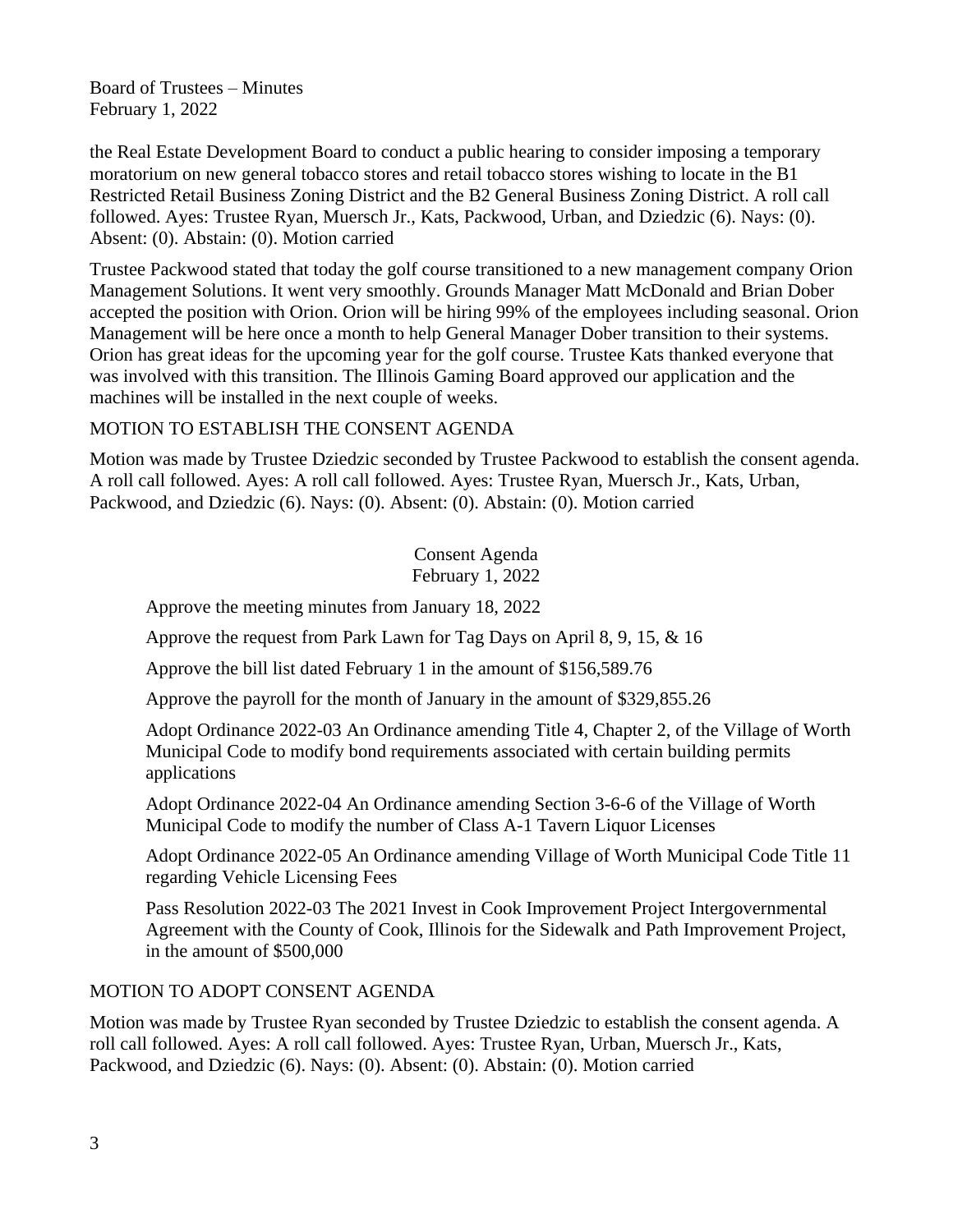Board of Trustees – Minutes February 1, 2022

the Real Estate Development Board to conduct a public hearing to consider imposing a temporary moratorium on new general tobacco stores and retail tobacco stores wishing to locate in the B1 Restricted Retail Business Zoning District and the B2 General Business Zoning District. A roll call followed. Ayes: Trustee Ryan, Muersch Jr., Kats, Packwood, Urban, and Dziedzic (6). Nays: (0). Absent: (0). Abstain: (0). Motion carried

Trustee Packwood stated that today the golf course transitioned to a new management company Orion Management Solutions. It went very smoothly. Grounds Manager Matt McDonald and Brian Dober accepted the position with Orion. Orion will be hiring 99% of the employees including seasonal. Orion Management will be here once a month to help General Manager Dober transition to their systems. Orion has great ideas for the upcoming year for the golf course. Trustee Kats thanked everyone that was involved with this transition. The Illinois Gaming Board approved our application and the machines will be installed in the next couple of weeks.

### MOTION TO ESTABLISH THE CONSENT AGENDA

Motion was made by Trustee Dziedzic seconded by Trustee Packwood to establish the consent agenda. A roll call followed. Ayes: A roll call followed. Ayes: Trustee Ryan, Muersch Jr., Kats, Urban, Packwood, and Dziedzic (6). Nays: (0). Absent: (0). Abstain: (0). Motion carried

> Consent Agenda February 1, 2022

Approve the meeting minutes from January 18, 2022

Approve the request from Park Lawn for Tag Days on April 8, 9, 15, & 16

Approve the bill list dated February 1 in the amount of \$156,589.76

Approve the payroll for the month of January in the amount of \$329,855.26

Adopt Ordinance 2022-03 An Ordinance amending Title 4, Chapter 2, of the Village of Worth Municipal Code to modify bond requirements associated with certain building permits applications

Adopt Ordinance 2022-04 An Ordinance amending Section 3-6-6 of the Village of Worth Municipal Code to modify the number of Class A-1 Tavern Liquor Licenses

Adopt Ordinance 2022-05 An Ordinance amending Village of Worth Municipal Code Title 11 regarding Vehicle Licensing Fees

Pass Resolution 2022-03 The 2021 Invest in Cook Improvement Project Intergovernmental Agreement with the County of Cook, Illinois for the Sidewalk and Path Improvement Project, in the amount of \$500,000

### MOTION TO ADOPT CONSENT AGENDA

Motion was made by Trustee Ryan seconded by Trustee Dziedzic to establish the consent agenda. A roll call followed. Ayes: A roll call followed. Ayes: Trustee Ryan, Urban, Muersch Jr., Kats, Packwood, and Dziedzic (6). Nays: (0). Absent: (0). Abstain: (0). Motion carried